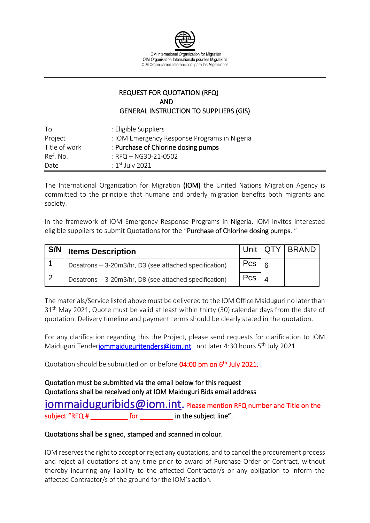

IOM International Organization for Migration OIM Organisation Internationale pour les Migrations OIM Organización Internacional para las Migraciones

## REQUEST FOR QUOTATION (RFQ) AND GENERAL INSTRUCTION TO SUPPLIERS (GIS)

| Τo            | : Eligible Suppliers                         |
|---------------|----------------------------------------------|
| Project       | : IOM Emergency Response Programs in Nigeria |
| Title of work | : Purchase of Chlorine dosing pumps          |
| Ref. No.      | : $RFA - NG30-21-0502$                       |
| Date          | : $1st$ July 2021                            |

The International Organization for Migration (IOM) the United Nations Migration Agency is committed to the principle that humane and orderly migration benefits both migrants and society.

In the framework of IOM Emergency Response Programs in Nigeria, IOM invites interested eligible suppliers to submit Quotations for the "Purchase of Chlorine dosing pumps."

| S/N | <b>Items Description</b>                               |     |                | Unit   QTY   BRAND |
|-----|--------------------------------------------------------|-----|----------------|--------------------|
|     | Dosatrons - 3-20m3/hr, D3 (see attached specification) | Pcs | $\overline{a}$ |                    |
|     | Dosatrons - 3-20m3/hr, D8 (see attached specification) | Pcs |                |                    |

The materials/Service listed above must be delivered to the IOM Office Maiduguri no later than  $31<sup>th</sup>$  May 2021, Quote must be valid at least within thirty (30) calendar days from the date of quotation. Delivery timeline and payment terms should be clearly stated in the quotation.

For any clarification regarding this the Project, please send requests for clarification to IOM Maiduguri Tender**iommaiduguritenders@iom.int**. not later 4:30 hours 5<sup>th</sup> July 2021.

Quotation should be submitted on or before 04:00 pm on 6<sup>th</sup> July 2021.

Quotation must be submitted via the email below for this request Quotations shall be received only at IOM Maiduguri Bids email address

[iommaiduguribids@iom.int.](mailto:iommaiduguribids@iom.int) Please mention RFQ number and Title on the subject "RFQ # The subject line".

## Quotations shall be signed, stamped and scanned in colour.

IOM reserves the right to accept or reject any quotations, and to cancel the procurement process and reject all quotations at any time prior to award of Purchase Order or Contract, without thereby incurring any liability to the affected Contractor/s or any obligation to inform the affected Contractor/s of the ground for the IOM's action.